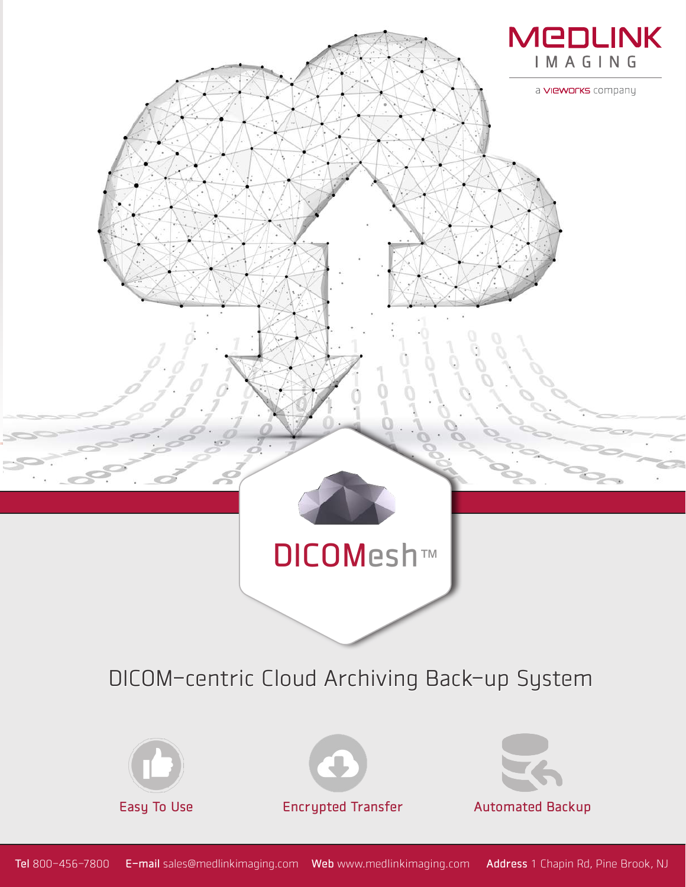